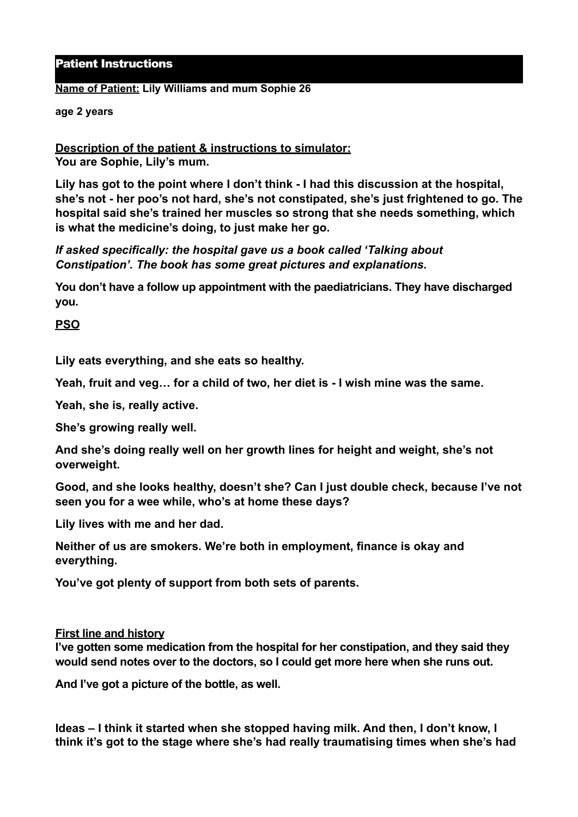# Patient Instructions

### **Name of Patient: Lily Williams and mum Sophie 26**

#### **age 2 years**

**Description of the patient & instructions to simulator: You are Sophie, Lily's mum.**

**Lily has got to the point where I don't think - I had this discussion at the hospital, she's not - her poo's not hard, she's not constipated, she's just frightened to go. The hospital said she's trained her muscles so strong that she needs something, which is what the medicine's doing, to just make her go.** 

*If asked specifically: the hospital gave us a book called 'Talking about Constipation'. The book has some great pictures and explanations.* 

**You don't have a follow up appointment with the paediatricians. They have discharged you.**

# **PSO**

**Lily eats everything, and she eats so healthy.** 

**Yeah, fruit and veg… for a child of two, her diet is - I wish mine was the same.** 

**Yeah, she is, really active.** 

**She's growing really well.** 

**And she's doing really well on her growth lines for height and weight, she's not overweight.** 

**Good, and she looks healthy, doesn't she? Can I just double check, because I've not seen you for a wee while, who's at home these days?** 

**Lily lives with me and her dad.** 

**Neither of us are smokers. We're both in employment, finance is okay and everything.** 

**You've got plenty of support from both sets of parents.**

### **First line and history**

**I've gotten some medication from the hospital for her constipation, and they said they would send notes over to the doctors, so I could get more here when she runs out.** 

**And I've got a picture of the bottle, as well.** 

**Ideas – I think it started when she stopped having milk. And then, I don't know, I think it's got to the stage where she's had really traumatising times when she's had**